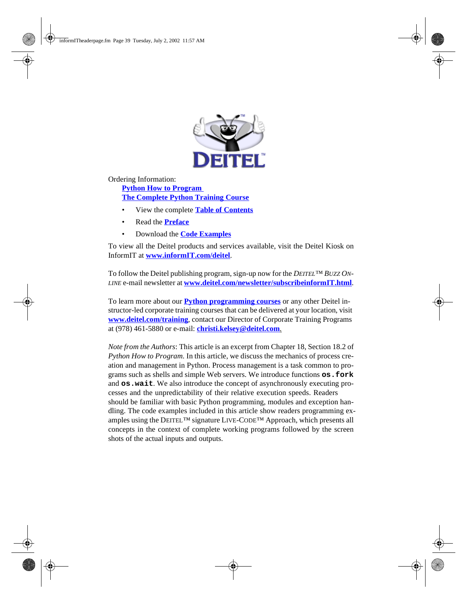

Ordering Information:

**[Python How to Program](http://www.informit.com/isapi/product_id~{F56702E9-6C18-44EF-B80C-274DD87A1233}/content/index.asp)  [The Complete Python Training Course](http://www.informit.com/content/index.asp?product_id={14E4C51D-889B-490E-B966-C464360A55D6})**

- View the complete **[Table of Contents](http://www.deitel.com/books/pythonHTP1/pythonHTP1_toc.pdf)**
- Read the **[Preface](http://www.deitel.com/books/pythonHTP1/pythonHTP1_preface.pdf)**
- Download the **[Code Examples](http://www.deitel.com/books/downloads.html#python)**

To view all the Deitel products and services available, visit the Deitel Kiosk on InformIT at **[www.informIT.com/deitel](http://www.informit.com/deitel)**.

To follow the Deitel publishing program, sign-up now for the *DEITEL™ BUZZ ON-LINE* e-mail newsletter at **[www.deitel.com/newsletter/subscribeinformIT.html](http://www.deitel.com/newsletter/subscribeinformIT.html)**.

To learn more about our **[Python programming courses](http://www.deitel.com/training/offerings.html#python)** or any other Deitel instructor-led corporate training courses that can be delivered at your location, visit **[www.deitel.com/training](http://www.deitel.com/training)**, contact our Director of Corporate Training Programs at (978) 461-5880 or e-mail: **[christi.kelsey@deitel.com](mailto:christi.kelsey@deitel.com)**.

*Note from the Authors*: This article is an excerpt from Chapter 18, Section 18.2 of *Python How to Program.* In this article, we discuss the mechanics of process creation and management in Python. Process management is a task common to programs such as shells and simple Web servers. We introduce functions **os.fork** and **os.wait**. We also introduce the concept of asynchronously executing processes and the unpredictability of their relative execution speeds. Readers should be familiar with basic Python programming, modules and exception handling. The code examples included in this article show readers programming examples using the DEITEL<sup>TM</sup> signature LIVE-CODE<sup>TM</sup> Approach, which presents all concepts in the context of complete working programs followed by the screen shots of the actual inputs and outputs.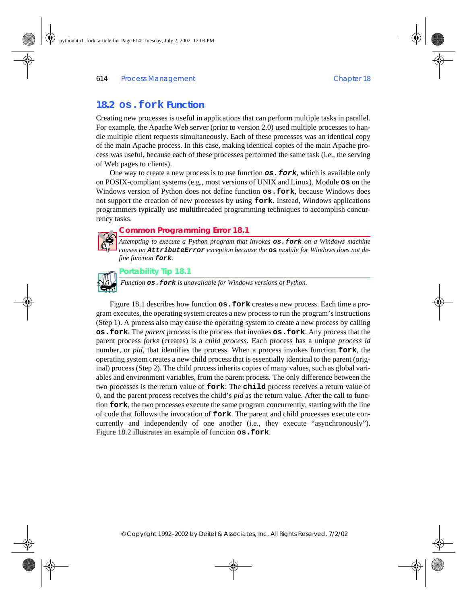# **18.2 os.fork Function**

Creating new processes is useful in applications that can perform multiple tasks in parallel. For example, the Apache Web server (prior to version 2.0) used multiple processes to handle multiple client requests simultaneously. Each of these processes was an identical copy of the main Apache process. In this case, making identical copies of the main Apache process was useful, because each of these processes performed the same task (i.e., the serving of Web pages to clients).

One way to create a new process is to use function **os.fork**, which is available only on POSIX-compliant systems (e.g., most versions of UNIX and Linux). Module **os** on the Windows version of Python does not define function **os.fork**, because Windows does not support the creation of new processes by using **fork**. Instead, Windows applications programmers typically use multithreaded programming techniques to accomplish concurrency tasks.

## **Common Programming Error 18.1**

*Attempting to execute a Python program that invokes* **os.fork** *on a Windows machine causes an* **AttributeError** *exception because the* **os** *module for Windows does not define function* **fork**.



## **Portability Tip 18.1**

*Function <b>os.fork is unavailable for Windows versions of Python.* 

[Figure 18.1](#page-2-0) describes how function **os.fork** creates a new process. Each time a program executes, the operating system creates a new process to run the program's instructions (Step 1). A process also may cause the operating system to create a new process by calling **os.fork**. The *parent process* is the process that invokes **os.fork**. Any process that the parent process *forks* (creates) is a *child process*. Each process has a unique *process id* number, or *pid*, that identifies the process. When a process invokes function **fork**, the operating system creates a new child process that is essentially identical to the parent (original) process (Step 2). The child process inherits copies of many values, such as global variables and environment variables, from the parent process. The only difference between the two processes is the return value of **fork**: The **child** process receives a return value of 0, and the parent process receives the child's *pid* as the return value. After the call to function **fork**, the two processes execute the same program concurrently, starting with the line of code that follows the invocation of **fork**. The parent and child processes execute concurrently and independently of one another (i.e., they execute "asynchronously"). [Figure 18.2](#page-2-1) illustrates an example of function **os.fork**.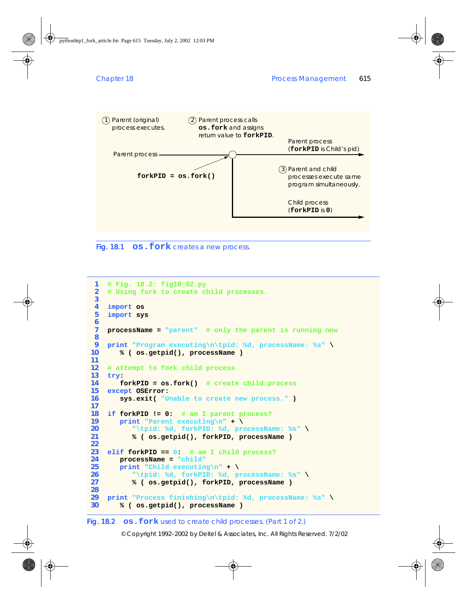

<span id="page-2-0"></span>

```
1 # Fig. 18.2: fig18_02.py
2 # Using fork to create child processes.
3
4 import os
5 import sys
6
7 processName = "parent" # only the parent is running now
8
9 print "Program executing\n\tpid: %d, processName: %s" \
10 % ( os.getpid(), processName )
11
12 # attempt to fork child process
13 try:
14 forkPID = os.fork() # create child process
15 except OSError:
16 sys.exit( "Unable to create new process." )
17
18 if forkPID != 0: # am I parent process?
19 print "Parent executing\n" + \
20 "\tpid: %d, forkPID: %d, processName: %s" \
         21 % ( os.getpid(), forkPID, processName )
22 
23 elif forkPID == 0: # am I child process?
24 processName = "child"
25 print "Child executing\n" + \
26 "\tpid: %d, forkPID: %d, processName: %s" \
         27 % ( os.getpid(), forkPID, processName )
28
29 print "Process finishing\n\tpid: %d, processName: %s" \
30 % ( os.getpid(), processName )
```
## <span id="page-2-1"></span>Fig. 18.2 **os. fork** used to create child processes. (Part 1 of 2.)

© Copyright 1992–2002 by Deitel & Associates, Inc. All Rights Reserved. 7/2/02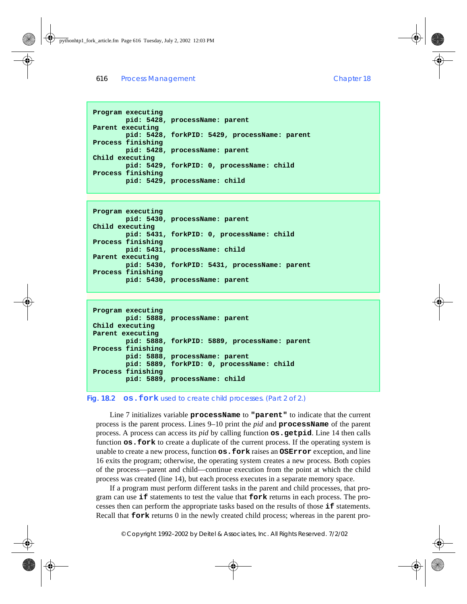```
Program executing
         pid: 5428, processName: parent
Parent executing
         pid: 5428, forkPID: 5429, processName: parent
Process finishing
        pid: 5428, processName: parent
Child executing
         pid: 5429, forkPID: 0, processName: child
Process finishing
         pid: 5429, processName: child
```

```
Program executing
         pid: 5430, processName: parent
Child executing
         pid: 5431, forkPID: 0, processName: child
Process finishing
        pid: 5431, processName: child
Parent executing
         pid: 5430, forkPID: 5431, processName: parent
Process finishing
        pid: 5430, processName: parent
```

```
Program executing
         pid: 5888, processName: parent
Child executing
Parent executing
         pid: 5888, forkPID: 5889, processName: parent
Process finishing
         pid: 5888, processName: parent
         pid: 5889, forkPID: 0, processName: child
Process finishing
         pid: 5889, processName: child
```
#### Fig. 18.2 **os. fork** used to create child processes. (Part 2 of 2.)

Line 7 initializes variable **processName** to **"parent"** to indicate that the current process is the parent process. Lines 9–10 print the *pid* and **processName** of the parent process. A process can access its *pid* by calling function **os.getpid**. Line 14 then calls function **os.fork** to create a duplicate of the current process. If the operating system is unable to create a new process, function **os.fork** raises an **OSError** exception, and line 16 exits the program; otherwise, the operating system creates a new process. Both copies of the process—parent and child—continue execution from the point at which the child process was created (line 14), but each process executes in a separate memory space.

If a program must perform different tasks in the parent and child processes, that program can use **if** statements to test the value that **fork** returns in each process. The processes then can perform the appropriate tasks based on the results of those **if** statements. Recall that **fork** returns 0 in the newly created child process; whereas in the parent pro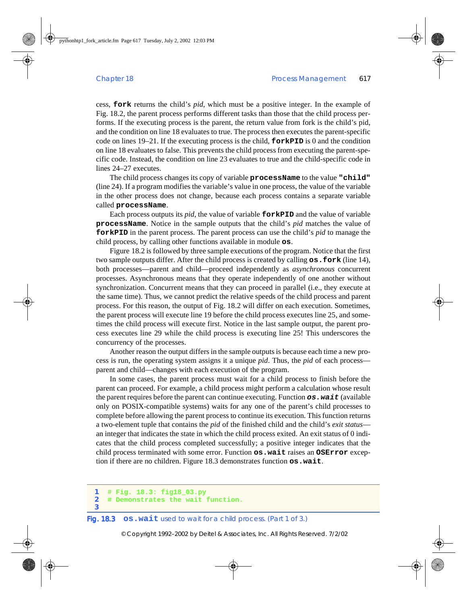cess, **fork** returns the child's *pid*, which must be a positive integer. In the example of [Fig. 18.2,](#page-2-1) the parent process performs different tasks than those that the child process performs. If the executing process is the parent, the return value from fork is the child's pid, and the condition on line 18 evaluates to true. The process then executes the parent-specific code on lines 19–21. If the executing process is the child, **forkPID** is 0 and the condition on line 18 evaluates to false. This prevents the child process from executing the parent-specific code. Instead, the condition on line 23 evaluates to true and the child-specific code in lines 24–27 executes.

The child process changes its copy of variable **processName** to the value **"child"** (line 24). If a program modifies the variable's value in one process, the value of the variable in the other process does not change, because each process contains a separate variable called **processName**.

Each process outputs its *pid*, the value of variable **forkPID** and the value of variable **processName**. Notice in the sample outputs that the child's *pid* matches the value of **forkPID** in the parent process. The parent process can use the child's *pid* to manage the child process, by calling other functions available in module **os**.

[Figure 18.2](#page-2-1) is followed by three sample executions of the program. Notice that the first two sample outputs differ. After the child process is created by calling **os.fork** (line 14), both processes—parent and child—proceed independently as *asynchronous* concurrent processes. Asynchronous means that they operate independently of one another without synchronization. Concurrent means that they can proceed in parallel (i.e., they execute at the same time). Thus, we cannot predict the relative speeds of the child process and parent process. For this reason, the output of [Fig. 18.2](#page-2-1) will differ on each execution. Sometimes, the parent process will execute line 19 before the child process executes line 25, and sometimes the child process will execute first. Notice in the last sample output, the parent process executes line 29 while the child process is executing line 25! This underscores the concurrency of the processes.

Another reason the output differs in the sample outputs is because each time a new process is run, the operating system assigns it a unique *pid*. Thus, the *pid* of each process parent and child—changes with each execution of the program.

In some cases, the parent process must wait for a child process to finish before the parent can proceed. For example, a child process might perform a calculation whose result the parent requires before the parent can continue executing. Function **os.wait** (available only on POSIX-compatible systems) waits for any one of the parent's child processes to complete before allowing the parent process to continue its execution. This function returns a two-element tuple that contains the *pid* of the finished child and the child's *exit status* an integer that indicates the state in which the child process exited. An exit status of 0 indicates that the child process completed successfully; a positive integer indicates that the child process terminated with some error. Function **os.wait** raises an **OSError** exception if there are no children. [Figure 18.3](#page-4-0) demonstrates function **os.wait**.

```
1 # Fig. 18.3: fig18_03.py
2 # Demonstrates the wait function.
```
**3**

### <span id="page-4-0"></span>Fig. 18.3 **os.wait** used to wait for a child process. (Part 1 of 3.)

© Copyright 1992–2002 by Deitel & Associates, Inc. All Rights Reserved. 7/2/02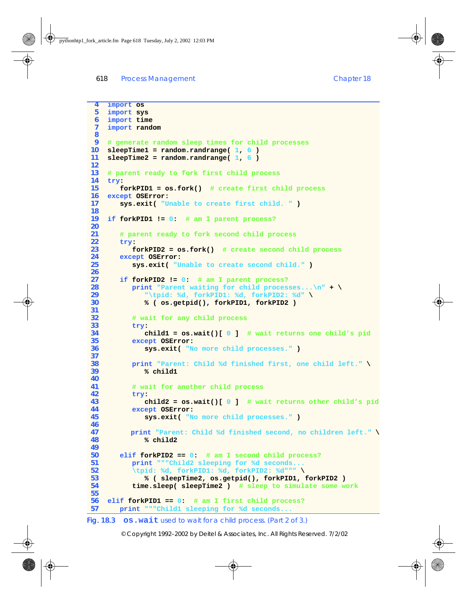**import os**

```
5 import sys
 6 import time
 7 import random
 8
 9 # generate random sleep times for child processes
10 sleepTime1 = random.randrange( 1, 6 )
11 sleepTime2 = random.randrange( 1, 6 )
12
13 # parent ready to fork first child process
14 try:
       15 forkPID1 = os.fork() # create first child process
16 except OSError:
17 sys.exit( "Unable to create first child. " )
18
19 if forkPID1 != 0: # am I parent process?
20
21 # parent ready to fork second child process
22 try: 
          23 forkPID2 = os.fork() # create second child process
24 except OSError:
25 sys.exit( "Unable to create second child." )
26
27 if forkPID2 != 0: # am I parent process?
28 print "Parent waiting for child processes...\n" + \<br>29 print (1) 30 h 29 h 1 h 29 h 1 h 29 h 29 h 21 h 21 h 21 h 21 h 21 h 21 h 21 h 21 h 21 h 21
29 "\tpid: %d, forkPID1: %d, forkPID2: %d" \
             30 % ( os.getpid(), forkPID1, forkPID2 )
31
32 # wait for any child process
33 try:
             34 child1 = os.wait()[ 0 ] # wait returns one child's pid
35 except OSError:
             36 sys.exit( "No more child processes." )
37
38 print "Parent: Child %d finished first, one child left." \
39 % child1
40
41 # wait for another child process
42 try:
             43 child2 = os.wait()[ 0 ] # wait returns other child's pid
44 except OSError:
             45 sys.exit( "No more child processes." )
46
47 print "Parent: Child %d finished second, no children left." \
             48 % child2
49
50 elif forkPID2 == 0: # am I second child process? 
          51 print """Child2 sleeping for %d seconds...
52 \tpid: %d, forkPID1: %d, forkPID2: %d""" \
53 % ( sleepTime2, os.getpid(), forkPID1, forkPID2 )
           54 time.sleep( sleepTime2 ) # sleep to simulate some work
55
56 elif forkPID1 == 0: # am I first child process?
57 print """Child1 sleeping for %d seconds...
Fig. 18.3 os.wait used to wait for a child process. (Part 2 of 3.)
```
© Copyright 1992–2002 by Deitel & Associates, Inc. All Rights Reserved. 7/2/02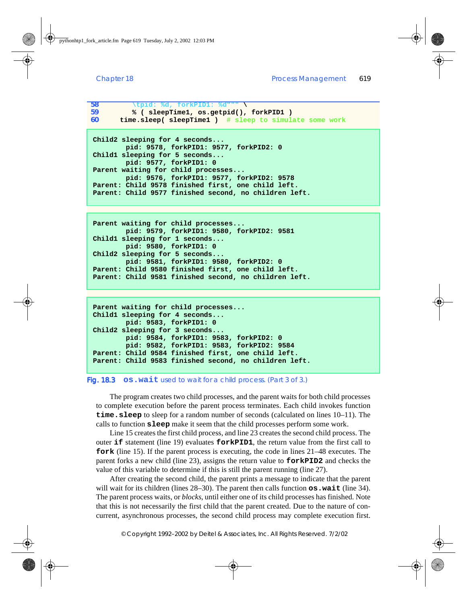```
58 \tpid: %d, forkPID1: %d""" \
59 % ( sleepTime1, os.getpid(), forkPID1 )
60 time.sleep( sleepTime1 ) # sleep to simulate some work
```

```
Child2 sleeping for 4 seconds...
         pid: 9578, forkPID1: 9577, forkPID2: 0
Child1 sleeping for 5 seconds...
         pid: 9577, forkPID1: 0
Parent waiting for child processes...
         pid: 9576, forkPID1: 9577, forkPID2: 9578
Parent: Child 9578 finished first, one child left.
Parent: Child 9577 finished second, no children left.
```

```
Parent waiting for child processes...
         pid: 9579, forkPID1: 9580, forkPID2: 9581
Child1 sleeping for 1 seconds...
         pid: 9580, forkPID1: 0
Child2 sleeping for 5 seconds...
         pid: 9581, forkPID1: 9580, forkPID2: 0
Parent: Child 9580 finished first, one child left.
Parent: Child 9581 finished second, no children left.
```

```
Parent waiting for child processes...
Child1 sleeping for 4 seconds...
         pid: 9583, forkPID1: 0
Child2 sleeping for 3 seconds...
         pid: 9584, forkPID1: 9583, forkPID2: 0
         pid: 9582, forkPID1: 9583, forkPID2: 9584
Parent: Child 9584 finished first, one child left.
Parent: Child 9583 finished second, no children left.
```
#### Fig. 18.3 **os.wait** used to wait for a child process. (Part 3 of 3.)

The program creates two child processes, and the parent waits for both child processes to complete execution before the parent process terminates. Each child invokes function **time.sleep** to sleep for a random number of seconds (calculated on lines 10–11). The calls to function **sleep** make it seem that the child processes perform some work.

Line 15 creates the first child process, and line 23 creates the second child process. The outer **if** statement (line 19) evaluates **forkPID1**, the return value from the first call to **fork** (line 15). If the parent process is executing, the code in lines 21–48 executes. The parent forks a new child (line 23), assigns the return value to **forkPID2** and checks the value of this variable to determine if this is still the parent running (line 27).

After creating the second child, the parent prints a message to indicate that the parent will wait for its children (lines 28–30). The parent then calls function  $\cos \cdot \text{wait}$  (line 34). The parent process waits, or *blocks*, until either one of its child processes has finished. Note that this is not necessarily the first child that the parent created. Due to the nature of concurrent, asynchronous processes, the second child process may complete execution first.